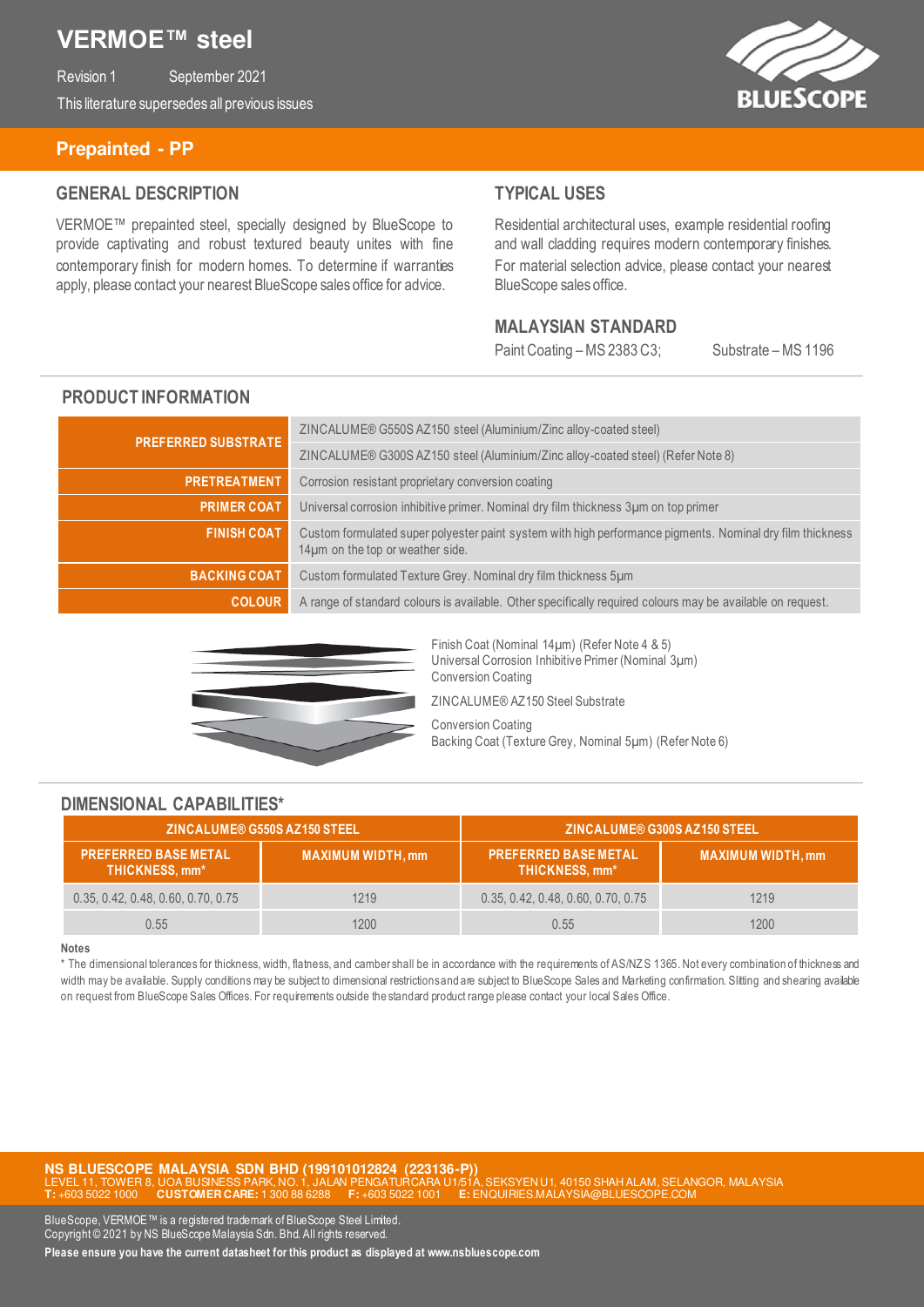# **VERMOE™ steel**

Revision 1 September 2021 This literature supersedes all previous issues



#### **Prepainted - PP**

#### **GENERAL DESCRIPTION**

VERMOE™ prepainted steel, specially designed by BlueScope to provide captivating and robust textured beauty unites with fine contemporary finish for modern homes. To determine if warranties apply, please contact your nearest BlueScope sales office for advice.

### **TYPICAL USES**

Residential architectural uses, example residential roofing and wall cladding requires modern contemporary finishes. For material selection advice, please contact your nearest BlueScope sales office.

#### **MALAYSIAN STANDARD**

Paint Coating – MS 2383 C3; Substrate – MS 1196

### **PRODUCT INFORMATION**

| <b>PREFERRED SUBSTRATE</b> | ZINCALUME® G550S AZ150 steel (Aluminium/Zinc alloy-coated steel)                                                                              |
|----------------------------|-----------------------------------------------------------------------------------------------------------------------------------------------|
|                            | ZINCALUME® G300S AZ150 steel (Aluminium/Zinc alloy-coated steel) (Refer Note 8)                                                               |
| <b>PRETREATMENT</b>        | Corrosion resistant proprietary conversion coating                                                                                            |
| <b>PRIMER COAT</b>         | Universal corrosion inhibitive primer. Nominal dry film thickness 3µm on top primer                                                           |
| <b>FINISH COAT</b>         | Custom formulated super polyester paint system with high performance pigments. Nominal dry film thickness<br>14µm on the top or weather side. |
| <b>BACKING COAT</b>        | Custom formulated Texture Grey. Nominal dry film thickness 5um                                                                                |
| <b>COLOUR</b>              | A range of standard colours is available. Other specifically required colours may be available on request.                                    |



Finish Coat (Nominal 14µm) (Refer Note 4 & 5) Universal Corrosion Inhibitive Primer (Nominal 3µm) Conversion Coating ZINCALUME® AZ150 Steel Substrate

Conversion Coating Backing Coat (Texture Grey, Nominal 5µm) (Refer Note 6)

#### **DIMENSIONAL CAPABILITIES\***

| ZINCALUME® G550S AZ150 STEEL                    |                          | ZINCALUME® G300S AZ150 STEEL                         |                          |  |
|-------------------------------------------------|--------------------------|------------------------------------------------------|--------------------------|--|
| <b>PREFERRED BASE METAL</b><br>THICKNESS, mm* ' | <b>MAXIMUM WIDTH, mm</b> | <b>PREFERRED BASE METAL</b><br><b>THICKNESS, mm*</b> | <b>MAXIMUM WIDTH, mm</b> |  |
| 0.35, 0.42, 0.48, 0.60, 0.70, 0.75              | 1219                     | 0.35, 0.42, 0.48, 0.60, 0.70, 0.75                   | 1219                     |  |
| 0.55                                            | 1200                     | 0.55                                                 | 1200                     |  |

#### **Notes**

\* The dimensional tolerances for thickness, width, flatness, and camber shall be in accordance with the requirements of AS/NZ S 1365. Not every combination of thickness and width may be available. Supply conditions may be subject to dimensional restrictions and are subject to BlueScope Sales and Marketing confirmation. Slitting and shearing available on request from BlueScope Sales Offices. For requirements outside the standard product range please contact your local Sales Office.

**NS BLUESCOPE MALAYSIA SDN BHD (199101012824 (223136-P))**<br>LEVEL 11, TOWER 8, UOA BUSINESS PARK, NO. 1, JALAN PENGATURCARA U1/51A, SEKSYEN U1, 40150 SHAH ALAM, SELANGOR, MALAYSIA **T:** +603 5022 1000 **CUSTOMER CARE:** 1 300 88 6288 **F:** +603 5022 1001 **E:** ENQUIRIES.MALAYSIA@BLUESCOPE.COM

BlueScope, VERMOE™ is a registered trademark of BlueScope Steel Limited. Copyright © 2021 by NS BlueScope Malaysia Sdn. Bhd. All rights reserved. **Please ensure you have the current datasheet for this product as displayed at www.nsbluescope.com**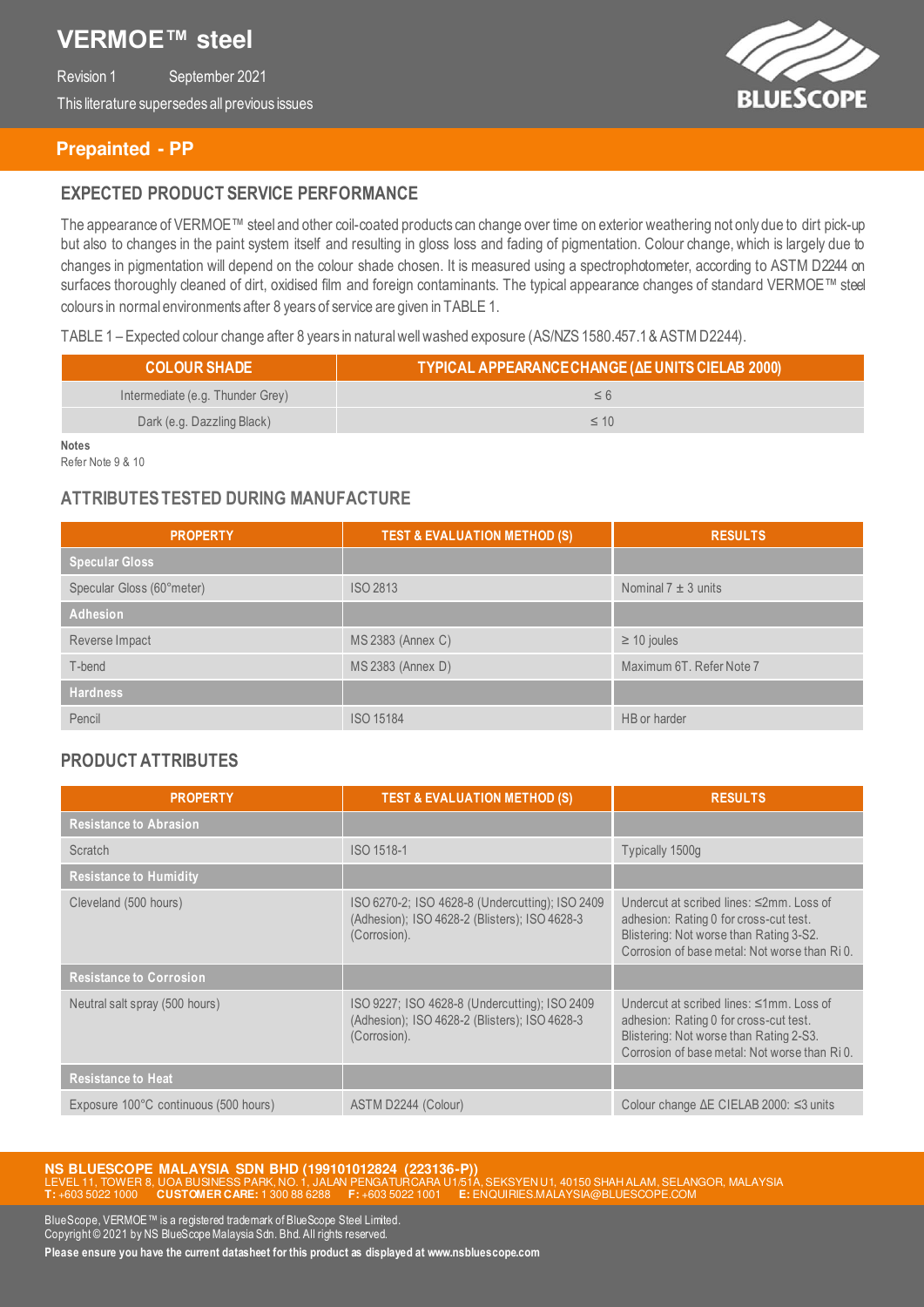# **VERMOE™ steel**

Revision 1 September 2021 This literature supersedes all previous issues



### **Prepainted - PP**

### **EXPECTED PRODUCT SERVICE PERFORMANCE**

The appearance of VERMOE™ steel and other coil-coated products can change over time on exterior weathering not only due to dirt pick-up but also to changes in the paint system itself and resulting in gloss loss and fading of pigmentation. Colour change, which is largely due to changes in pigmentation will depend on the colour shade chosen. It is measured using a spectrophotometer, according to ASTM D2244 on surfaces thoroughly cleaned of dirt, oxidised film and foreign contaminants. The typical appearance changes of standard VERMOE™ steel colours in normal environments after 8 years of service are given in TABLE 1.

#### TABLE 1 – Expected colour change after 8 years in natural well washed exposure (AS/NZS 1580.457.1 & ASTM D2244).

| <b>COLOUR SHADE</b>              | TYPICAL APPEARANCE CHANGE (AE UNITS CIELAB 2000) |  |
|----------------------------------|--------------------------------------------------|--|
| Intermediate (e.g. Thunder Grey) |                                                  |  |
| Dark (e.g. Dazzling Black)       | $\leq 1()$                                       |  |

**Notes**

Refer Note 9 & 10

### **ATTRIBUTES TESTED DURING MANUFACTURE**

| <b>PROPERTY</b>           | <b>TEST &amp; EVALUATION METHOD (S)</b> | <b>RESULTS</b>           |
|---------------------------|-----------------------------------------|--------------------------|
| <b>Specular Gloss</b>     |                                         |                          |
| Specular Gloss (60°meter) | <b>ISO 2813</b>                         | Nominal $7 \pm 3$ units  |
| Adhesion                  |                                         |                          |
| Reverse Impact            | MS 2383 (Annex C)                       | $\geq$ 10 joules         |
| T-bend                    | MS 2383 (Annex D)                       | Maximum 6T. Refer Note 7 |
| <b>Hardness</b>           |                                         |                          |
| Pencil                    | <b>ISO 15184</b>                        | HB or harder             |

### **PRODUCT ATTRIBUTES**

| <b>PROPERTY</b>                       | <b>TEST &amp; EVALUATION METHOD (S)</b>                                                                          | <b>RESULTS</b>                                                                                                                                                                       |
|---------------------------------------|------------------------------------------------------------------------------------------------------------------|--------------------------------------------------------------------------------------------------------------------------------------------------------------------------------------|
| <b>Resistance to Abrasion</b>         |                                                                                                                  |                                                                                                                                                                                      |
| Scratch                               | ISO 1518-1                                                                                                       | Typically 1500g                                                                                                                                                                      |
| <b>Resistance to Humidity</b>         |                                                                                                                  |                                                                                                                                                                                      |
| Cleveland (500 hours)                 | ISO 6270-2; ISO 4628-8 (Undercutting); ISO 2409<br>(Adhesion); ISO 4628-2 (Blisters); ISO 4628-3<br>(Corrosion). | Undercut at scribed lines: $\leq 2$ mm. Loss of<br>adhesion: Rating 0 for cross-cut test.<br>Blistering: Not worse than Rating 3-S2.<br>Corrosion of base metal: Not worse than RiO. |
| <b>Resistance to Corrosion</b>        |                                                                                                                  |                                                                                                                                                                                      |
| Neutral salt spray (500 hours)        | ISO 9227; ISO 4628-8 (Undercutting); ISO 2409<br>(Adhesion); ISO 4628-2 (Blisters); ISO 4628-3<br>(Corrosion).   | Undercut at scribed lines: ≤1mm, Loss of<br>adhesion: Rating 0 for cross-cut test.<br>Blistering: Not worse than Rating 2-S3.<br>Corrosion of base metal: Not worse than RiO.        |
| <b>Resistance to Heat</b>             |                                                                                                                  |                                                                                                                                                                                      |
| Exposure 100°C continuous (500 hours) | ASTM D2244 (Colour)                                                                                              | Colour change $\Delta E$ CIELAB 2000: $\leq$ 3 units                                                                                                                                 |

**NS BLUESCOPE MALAYSIA SDN BHD (199101012824 (223136-P))**<br>LEVEL 11, TOWER 8, UOA BUSINESS PARK, NO. 1, JALAN PENGATURCARA U1/51A, SEKSYEN U1, 40150 SHAH ALAM, SELANGOR, MALAYSIA **T:** +603 5022 1000 **CUSTOMER CARE:** 1 300 88 6288 **F:** +603 5022 1001 **E:** ENQUIRIES.MALAYSIA@BLUESCOPE.COM

BlueScope, VERMOE™ is a registered trademark of BlueScope Steel Limited. Copyright © 2021 by NS BlueScope Malaysia Sdn. Bhd. All rights reserved.

**Please ensure you have the current datasheet for this product as displayed at www.nsbluescope.com**